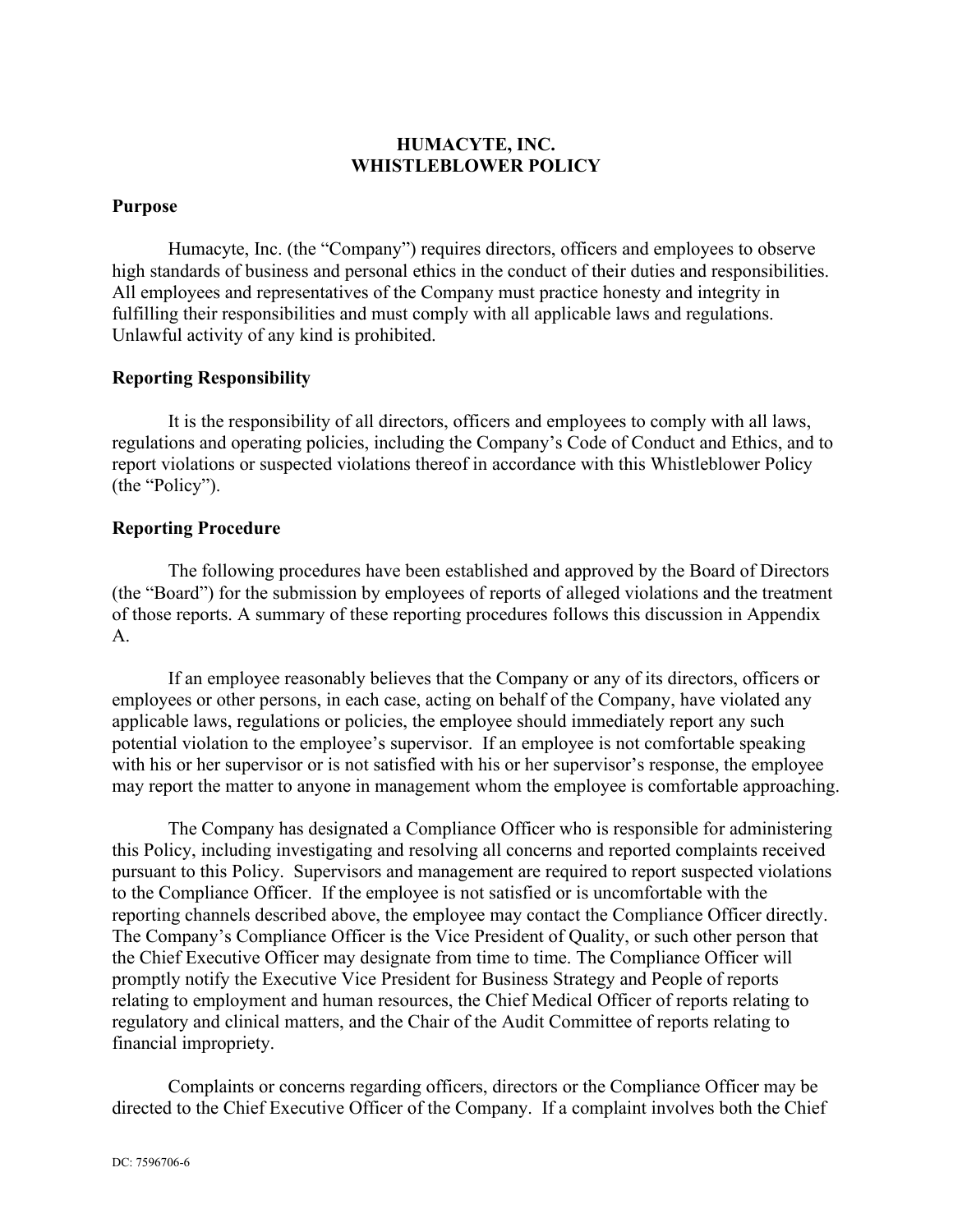## **HUMACYTE, INC. WHISTLEBLOWER POLICY**

#### **Purpose**

Humacyte, Inc. (the "Company") requires directors, officers and employees to observe high standards of business and personal ethics in the conduct of their duties and responsibilities. All employees and representatives of the Company must practice honesty and integrity in fulfilling their responsibilities and must comply with all applicable laws and regulations. Unlawful activity of any kind is prohibited.

#### **Reporting Responsibility**

It is the responsibility of all directors, officers and employees to comply with all laws, regulations and operating policies, including the Company's Code of Conduct and Ethics, and to report violations or suspected violations thereof in accordance with this Whistleblower Policy (the "Policy").

#### **Reporting Procedure**

The following procedures have been established and approved by the Board of Directors (the "Board") for the submission by employees of reports of alleged violations and the treatment of those reports. A summary of these reporting procedures follows this discussion in Appendix A.

If an employee reasonably believes that the Company or any of its directors, officers or employees or other persons, in each case, acting on behalf of the Company, have violated any applicable laws, regulations or policies, the employee should immediately report any such potential violation to the employee's supervisor. If an employee is not comfortable speaking with his or her supervisor or is not satisfied with his or her supervisor's response, the employee may report the matter to anyone in management whom the employee is comfortable approaching.

The Company has designated a Compliance Officer who is responsible for administering this Policy, including investigating and resolving all concerns and reported complaints received pursuant to this Policy. Supervisors and management are required to report suspected violations to the Compliance Officer. If the employee is not satisfied or is uncomfortable with the reporting channels described above, the employee may contact the Compliance Officer directly. The Company's Compliance Officer is the Vice President of Quality, or such other person that the Chief Executive Officer may designate from time to time. The Compliance Officer will promptly notify the Executive Vice President for Business Strategy and People of reports relating to employment and human resources, the Chief Medical Officer of reports relating to regulatory and clinical matters, and the Chair of the Audit Committee of reports relating to financial impropriety.

Complaints or concerns regarding officers, directors or the Compliance Officer may be directed to the Chief Executive Officer of the Company. If a complaint involves both the Chief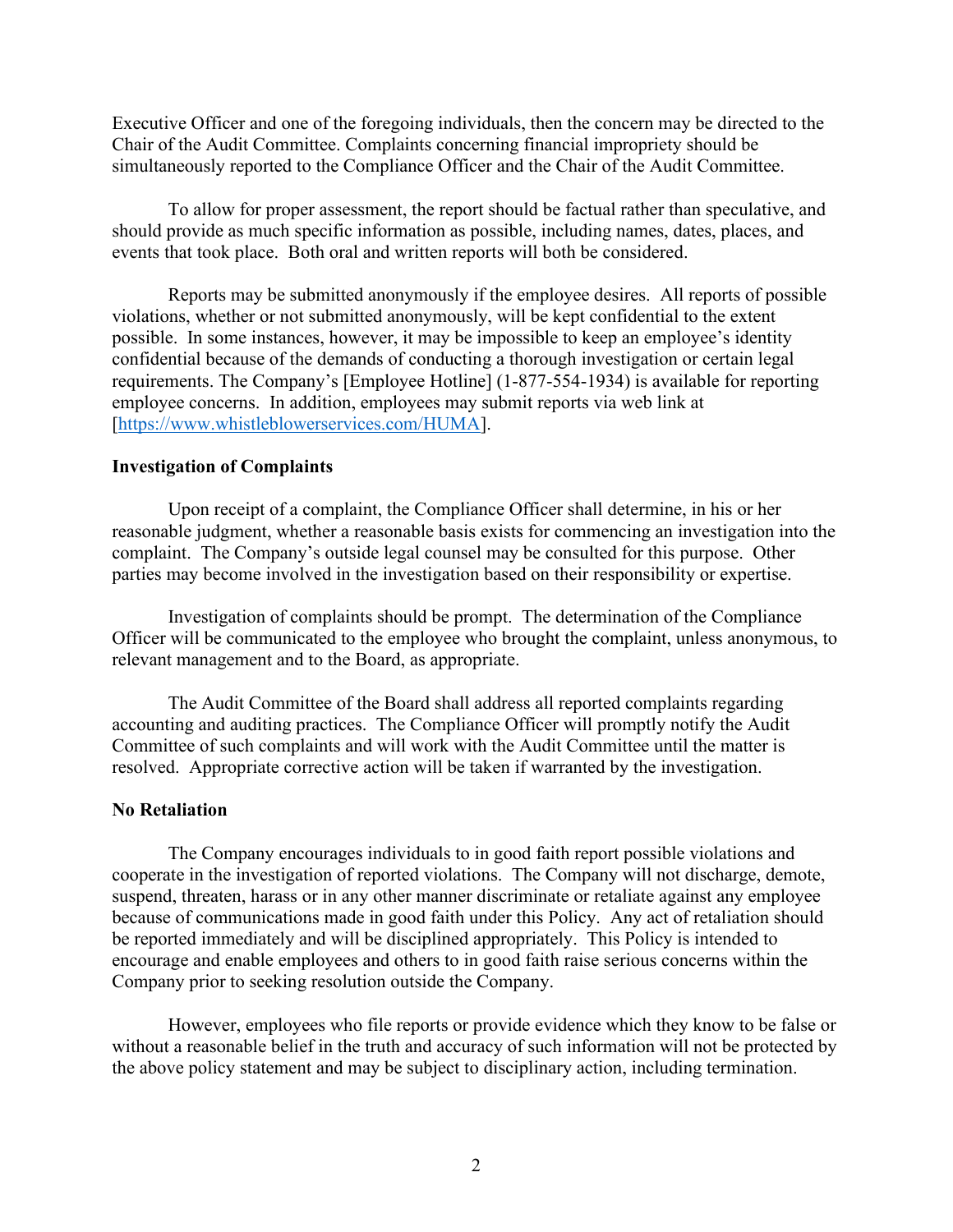Executive Officer and one of the foregoing individuals, then the concern may be directed to the Chair of the Audit Committee. Complaints concerning financial impropriety should be simultaneously reported to the Compliance Officer and the Chair of the Audit Committee.

To allow for proper assessment, the report should be factual rather than speculative, and should provide as much specific information as possible, including names, dates, places, and events that took place. Both oral and written reports will both be considered.

Reports may be submitted anonymously if the employee desires. All reports of possible violations, whether or not submitted anonymously, will be kept confidential to the extent possible. In some instances, however, it may be impossible to keep an employee's identity confidential because of the demands of conducting a thorough investigation or certain legal requirements. The Company's [Employee Hotline] (1-877-554-1934) is available for reporting employee concerns. In addition, employees may submit reports via web link at [\[https://www.whistleblowerservices.com/HUMA\]](https://www.whistleblowerservices.com/HUMA).

#### **Investigation of Complaints**

Upon receipt of a complaint, the Compliance Officer shall determine, in his or her reasonable judgment, whether a reasonable basis exists for commencing an investigation into the complaint. The Company's outside legal counsel may be consulted for this purpose. Other parties may become involved in the investigation based on their responsibility or expertise.

Investigation of complaints should be prompt. The determination of the Compliance Officer will be communicated to the employee who brought the complaint, unless anonymous, to relevant management and to the Board, as appropriate.

The Audit Committee of the Board shall address all reported complaints regarding accounting and auditing practices. The Compliance Officer will promptly notify the Audit Committee of such complaints and will work with the Audit Committee until the matter is resolved. Appropriate corrective action will be taken if warranted by the investigation.

#### **No Retaliation**

The Company encourages individuals to in good faith report possible violations and cooperate in the investigation of reported violations. The Company will not discharge, demote, suspend, threaten, harass or in any other manner discriminate or retaliate against any employee because of communications made in good faith under this Policy. Any act of retaliation should be reported immediately and will be disciplined appropriately. This Policy is intended to encourage and enable employees and others to in good faith raise serious concerns within the Company prior to seeking resolution outside the Company.

However, employees who file reports or provide evidence which they know to be false or without a reasonable belief in the truth and accuracy of such information will not be protected by the above policy statement and may be subject to disciplinary action, including termination.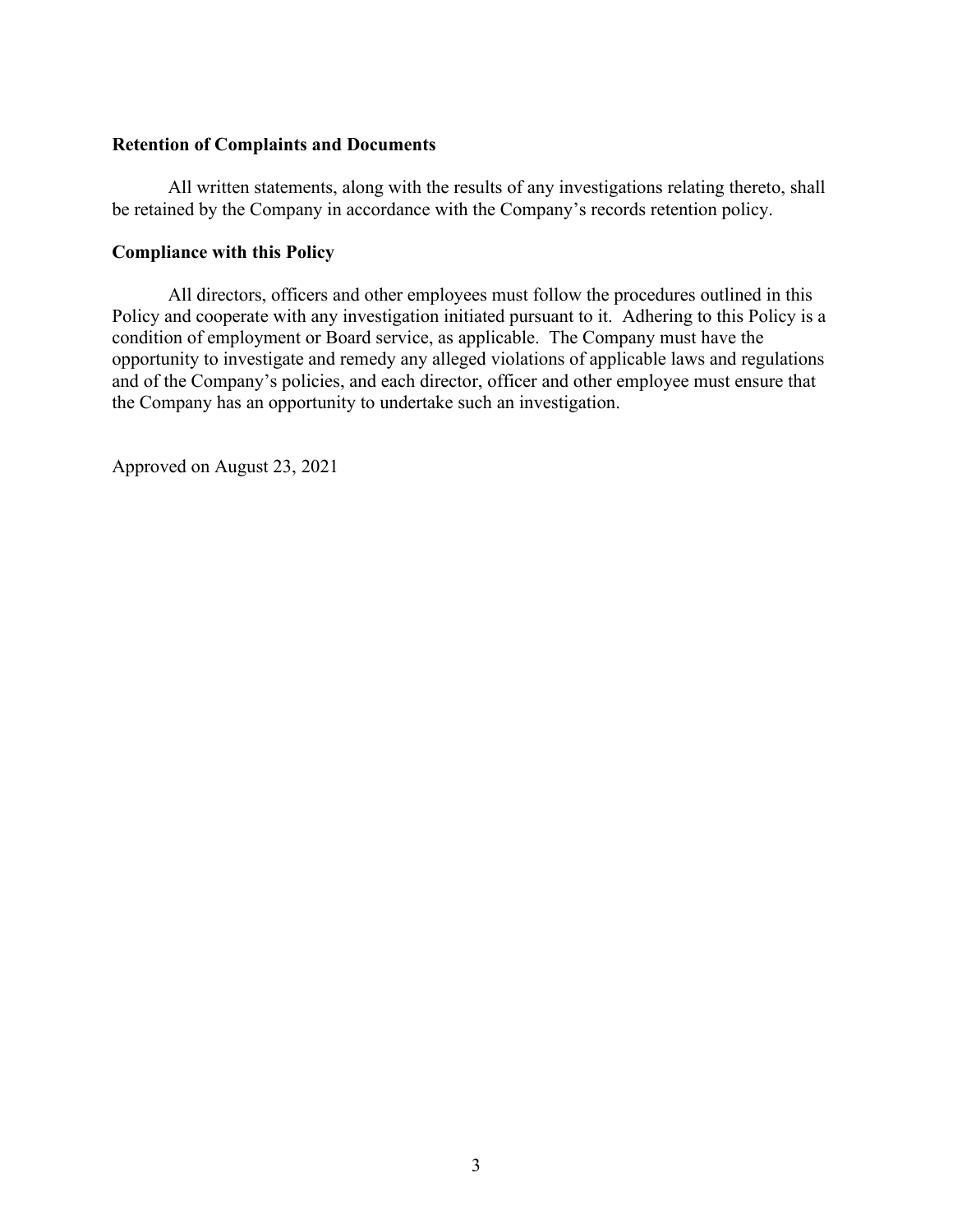#### **Retention of Complaints and Documents**

All written statements, along with the results of any investigations relating thereto, shall be retained by the Company in accordance with the Company's records retention policy.

#### **Compliance with this Policy**

All directors, officers and other employees must follow the procedures outlined in this Policy and cooperate with any investigation initiated pursuant to it. Adhering to this Policy is a condition of employment or Board service, as applicable. The Company must have the opportunity to investigate and remedy any alleged violations of applicable laws and regulations and of the Company's policies, and each director, officer and other employee must ensure that the Company has an opportunity to undertake such an investigation.

Approved on August 23, 2021